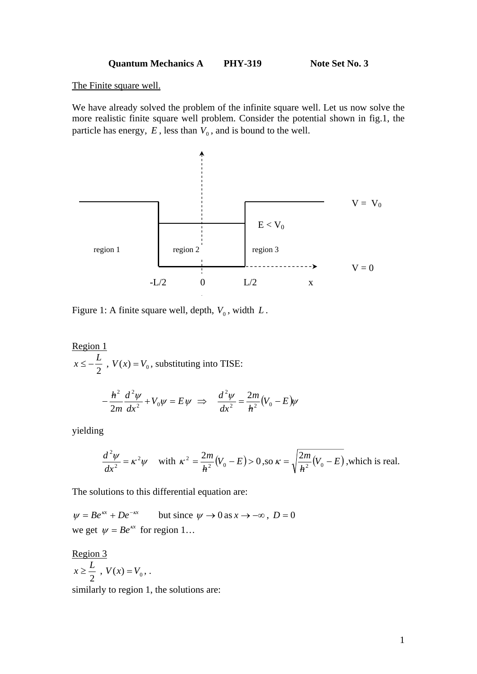Quantum Mechanics A PHY-319 Note Set No. 3

The Finite square well.

We have already solved the problem of the infinite square well. Let us now solve the more realistic finite square well problem. Consider the potential shown in fig.1, the particle has energy,  $E$ , less than  $V_0$ , and is bound to the well.



Figure 1: A finite square well, depth,  $V_0$ , width  $L$ .

Region 1 2  $x \leq -\frac{L}{2}$ ,  $V(x) = V_0$ , substituting into TISE:  $\frac{\psi}{2} + V_0 \psi = E \psi$ *dx d*  $-\frac{\hbar^2}{2m}\frac{d^2\psi}{dx^2} + V_0\psi =$ 2  $\Rightarrow \frac{d^2 \psi}{dr^2} = \frac{2m}{r^2} (V_0 - E) \psi$ *h m*  $rac{d^2\psi}{dx^2} = \frac{2m}{h^2}(V_0 -$ 

yielding

$$
\frac{d^2\psi}{dx^2} = \kappa^2 \psi \quad \text{with } \kappa^2 = \frac{2m}{\hbar^2} (V_0 - E) > 0, \text{ so } \kappa = \sqrt{\frac{2m}{\hbar^2} (V_0 - E)}, \text{which is real.}
$$

The solutions to this differential equation are:

 $\psi = Be^{kx} + De^{-kx}$  but since  $\psi \to 0$  as  $x \to -\infty$ ,  $D = 0$ we get  $\psi = Be^{kx}$  for region 1...

Region 3 2  $x \geq \frac{L}{2}$ ,  $V(x) = V_0$ , .

similarly to region 1, the solutions are: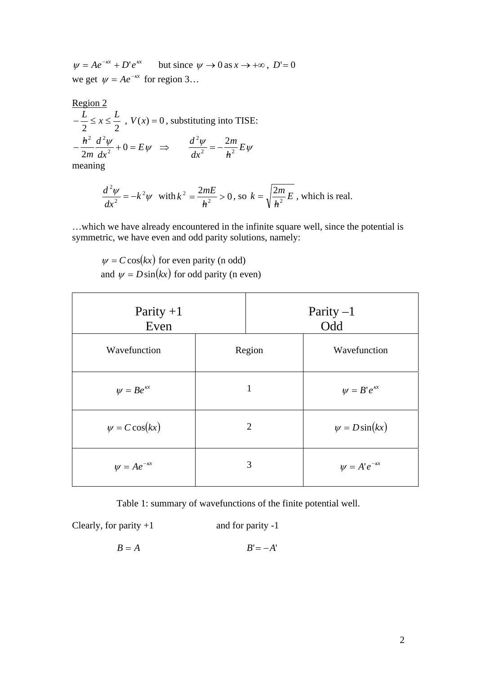$\psi = Ae^{-\kappa x} + D'e^{\kappa x}$  but since  $\psi \to 0$  as  $x \to +\infty$ ,  $D' = 0$ we get  $\psi = Ae^{-\kappa x}$  for region 3...

Region 2  
\n
$$
-\frac{L}{2} \le x \le \frac{L}{2}
$$
,  $V(x) = 0$ , substituting into TISE:  
\n $-\frac{h^2}{2m} \frac{d^2 \psi}{dx^2} + 0 = E \psi \implies \frac{d^2 \psi}{dx^2} = -\frac{2m}{h^2} E \psi$   
\n $\frac{d^2 \psi}{dx^2} = -\frac{2m}{h^2} E \psi$ 

meaning

$$
\frac{d^2\psi}{dx^2} = -k^2\psi
$$
 with  $k^2 = \frac{2mE}{h^2} > 0$ , so  $k = \sqrt{\frac{2m}{h^2}E}$ , which is real.

…which we have already encountered in the infinite square well, since the potential is symmetric, we have even and odd parity solutions, namely:

 $\psi = C \cos(kx)$  for even parity (n odd) and  $\psi = D \sin(kx)$  for odd parity (n even)

| Parity $+1$<br>Even     |                | Parity $-1$<br>Odd |                           |
|-------------------------|----------------|--------------------|---------------------------|
| Wavefunction            | Region         |                    | Wavefunction              |
| $\psi = Be^{\kappa x}$  | 1              |                    | $\psi = B' e^{kx}$        |
| $\psi = C \cos(kx)$     | $\overline{2}$ |                    | $\psi = D \sin(kx)$       |
| $\psi = Ae^{-\kappa x}$ |                | 3                  | $\psi = A' e^{-\kappa x}$ |

Table 1: summary of wavefunctions of the finite potential well.

Clearly, for parity  $+1$  and for parity  $-1$ 

 $B = A$   $B' = -A'$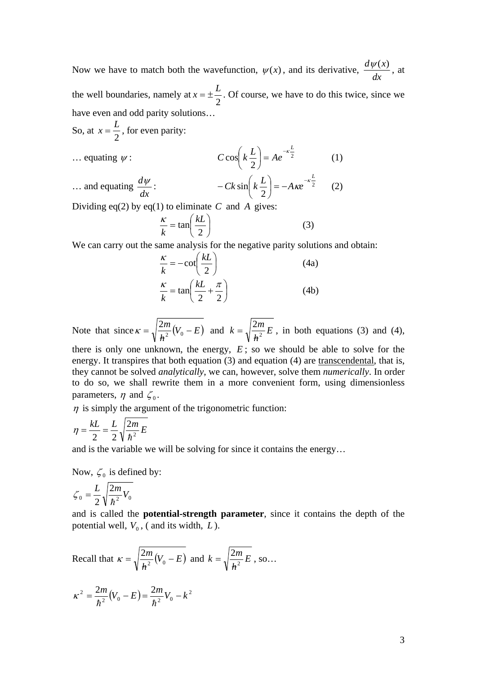Now we have to match both the wavefunction,  $\psi(x)$ , and its derivative,  $\frac{d\psi(x)}{dx}$ , at the well boundaries, namely at  $x = \pm \frac{L}{2}$ . Of course, we have to do this twice, since we have even and odd parity solutions…

So, at  $x = \frac{L}{2}$ , for even parity:

$$
C\cos\left(k\frac{L}{2}\right) = Ae^{-\kappa\frac{L}{2}}\tag{1}
$$

2

 $Ck \sin\left(k\frac{L}{2}\right) = -A\kappa e^{-\kappa}$ 

 $-Ck \sin\left(k \frac{L}{2}\right) = -A \kappa e^{-\kappa \frac{L}{2}}$  (2)

*L*

... and equating  $\frac{d\psi}{dx}$ :  $\frac{d\psi}{dx}$ :  $- Ck \sin\left(k\frac{L}{2}\right) = -A \kappa e^{-\kappa \frac{L}{2}}$ 

 $\ldots$  equating  $\psi$ :

Dividing eq(2) by eq(1) to eliminate  $C$  and  $A$  gives:

$$
\frac{\kappa}{k} = \tan\left(\frac{k}{2}\right) \tag{3}
$$

sin

 $\setminus$ 

We can carry out the same analysis for the negative parity solutions and obtain:

$$
\frac{\kappa}{k} = -\cot\left(\frac{kL}{2}\right)
$$
(4a)  

$$
\frac{\kappa}{k} = \tan\left(\frac{kL}{2} + \frac{\pi}{2}\right)
$$
(4b)

Note that since  $\kappa = \sqrt{\frac{2m}{\hbar^2}}(V_0 - E)$  $\kappa = \sqrt{\frac{2m}{h^2}(V_0 - E)}$  and  $k = \sqrt{\frac{2m}{h^2}E}$  $k = \sqrt{\frac{2m}{h^2}} E$ , in both equations (3) and (4),

there is only one unknown, the energy, *E* ; so we should be able to solve for the energy. It transpires that both equation (3) and equation (4) are transcendental, that is, they cannot be solved *analytically*, we can, however, solve them *numerically*. In order to do so, we shall rewrite them in a more convenient form, using dimensionless parameters,  $\eta$  and  $\zeta_0$ .

 $\eta$  is simply the argument of the trigonometric function:

$$
\eta = \frac{kL}{2} = \frac{L}{2} \sqrt{\frac{2m}{\hbar^2} E}
$$

and is the variable we will be solving for since it contains the energy…

Now,  $\zeta_0$  is defined by:

$$
\zeta_0 = \frac{L}{2} \sqrt{\frac{2m}{\hbar^2} V_0}
$$

and is called the **potential-strength parameter**, since it contains the depth of the potential well,  $V_0$ , ( and its width,  $L$ ).

Recall that 
$$
\kappa = \sqrt{\frac{2m}{h^2}(V_0 - E)}
$$
 and  $k = \sqrt{\frac{2m}{h^2}E}$ , so...  

$$
\kappa^2 = \frac{2m}{h^2}(V_0 - E) = \frac{2m}{h^2}V_0 - k^2
$$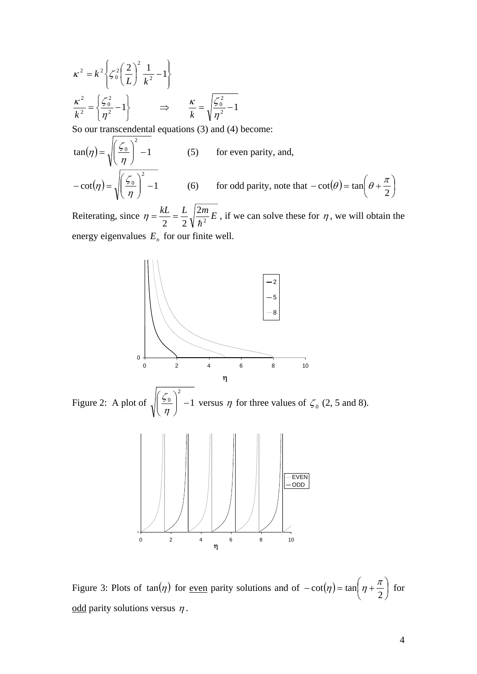$$
\kappa^2 = k^2 \left\{ \zeta_0^2 \left( \frac{2}{L} \right)^2 \frac{1}{k^2} - 1 \right\}
$$
  

$$
\frac{\kappa^2}{k^2} = \left\{ \frac{\zeta_0^2}{\eta^2} - 1 \right\} \implies \frac{\kappa}{k} = \sqrt{\frac{\zeta_0^2}{\eta^2} - 1}
$$

So our transcendental equations (3) and (4) become:

$$
\tan(\eta) = \sqrt{\left(\frac{\zeta_0}{\eta}\right)^2 - 1}
$$
 (5) for even parity, and,  
-
$$
-\cot(\eta) = \sqrt{\left(\frac{\zeta_0}{\eta}\right)^2 - 1}
$$
 (6) for odd parity, note that  $-\cot(\theta) = \tan\left(\theta + \frac{\pi}{2}\right)$ 

Reiterating, since  $\eta = \frac{kL}{2} = \frac{L}{2} \sqrt{\frac{2m}{\hbar^2} E}$  $\eta = \frac{kL}{2} = \frac{L}{2} \sqrt{\frac{2m}{\hbar^2} E}$ , if we can solve these for  $\eta$ , we will obtain the energy eigenvalues  $E<sub>n</sub>$  for our finite well.



Figure 3: Plots of  $tan(\eta)$  for <u>even</u> parity solutions and of  $-cot(\eta) = tan(\eta + \frac{\pi}{2})$  $\bigg)$  $\left(\eta+\frac{\pi}{2}\right)$  $\setminus$  $-\cot(\eta) = \tan\left(\eta + \right)$ 2  $\cot(\eta) = \tan \left( \eta + \frac{\pi}{2} \right)$  for odd parity solutions versus  $\eta$ .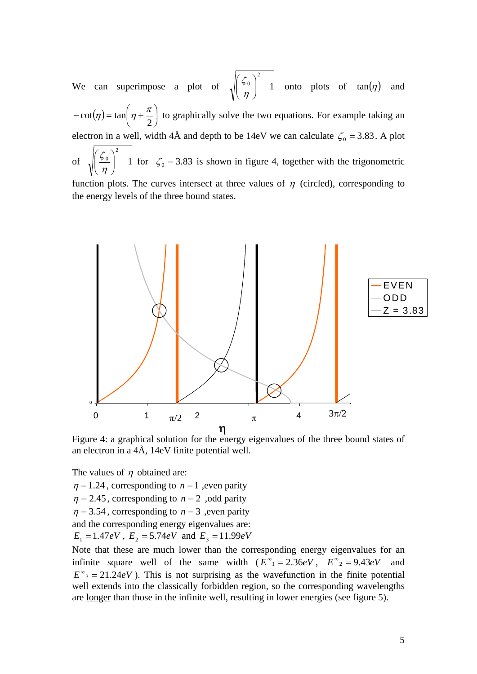We can superimpose a plot of  $\sqrt{\frac{50}{1}}$  -1 2  $\frac{0}{2}$  - $\bigg)$  $\setminus$  $\overline{\phantom{a}}$  $\overline{\mathcal{L}}$ ſ  $\eta$  $\frac{\zeta_0}{\zeta_0}$  -1 onto plots of tan( $\eta$ ) and  $(\eta)$  = tan  $|\eta + \frac{\pi}{2}|$ J  $\left(\eta+\frac{\pi}{2}\right)$  $\setminus$  $-\cot(\eta) = \tan\left(\eta + \right)$ 2  $\cot(\eta) = \tan \left( \eta + \frac{\pi}{2} \right)$  to graphically solve the two equations. For example taking an electron in a well, width 4Å and depth to be 14eV we can calculate  $\zeta_0 = 3.83$ . A plot of  $\sqrt{3}$   $\frac{50}{2}$  | -1 2  $\frac{0}{2}$  -J  $\setminus$  $\overline{\phantom{a}}$  $\setminus$ ſ  $\left(\frac{\zeta_0}{\eta}\right)$  -1 for  $\zeta_0$  = 3.83 is shown in figure 4, together with the trigonometric function plots. The curves intersect at three values of  $\eta$  (circled), corresponding to the energy levels of the three bound states.



Figure 4: a graphical solution for the energy eigenvalues of the three bound states of an electron in a 4Å, 14eV finite potential well.

The values of  $\eta$  obtained are:

 $\eta = 1.24$ , corresponding to  $n = 1$ , even parity

 $\eta = 2.45$ , corresponding to  $n = 2$ , odd parity

 $\eta = 3.54$ , corresponding to  $n = 3$ , even parity

and the corresponding energy eigenvalues are:

 $E_1 = 1.47eV$ ,  $E_2 = 5.74eV$  and  $E_3 = 11.99eV$ 

Note that these are much lower than the corresponding energy eigenvalues for an infinite square well of the same width  $(E^{\infty}) = 2.36eV$ ,  $E^{\infty} = 9.43eV$  and  $E^{\infty}$ <sub>3</sub> = 21.24*eV*). This is not surprising as the wavefunction in the finite potential well extends into the classically forbidden region, so the corresponding wavelengths are longer than those in the infinite well, resulting in lower energies (see figure 5).